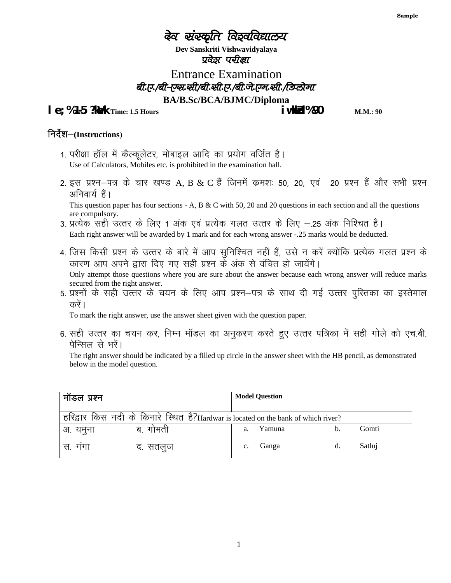# देव संस्कृति विइवविद्यालय

**Dev Sanskriti Vishwavidyalaya** प्रवेइा पर्चाक्षा

Entrance Examination बी.ए./बी-एस.सी/बी.सी.ए./बी.जे.एम.सी./डिप्लोमा **BA/B.Sc/BCA/BJMC/Diploma**

**le; %1-5 ?kik** Time: 1.5 Hours **in the set of the set of the set of M.M.: 90** M.M.: 90

#### **निर्देश-(Instructions)**

- 1. परीक्षा हॉल में कैल्कूलेटर, मोबाइल आदि का प्रयोग वर्जित है। Use of Calculators, Mobiles etc. is prohibited in the examination hall.
- 2. इस प्रश्न–पत्र के चार खण्ड A, B & C हैं जिनमें क्रमशः 50, 20, एवं 20 प्रश्न हैं और सभी प्रश्न अनिवार्य हैं। This question paper has four sections - A, B  $\&$  C with 50, 20 and 20 questions in each section and all the questions

are compulsory. 3. प्रत्येक सही उत्तर के लिए 1 अंक एवं प्रत्येक गलत उत्तर के लिए –.25 अंक निश्चित है।

Each right answer will be awarded by 1 mark and for each wrong answer -.25 marks would be deducted.

4. जिस किसी प्रश्न के उत्तर के बारे में आप सुनिश्चित नहीं हैं, उसे न करें क्योंकि प्रत्येक गलत प्रश्न के कारण आप अपने द्वारा दिए गए सही प्रश्न के अंक से वंचित हो जायेंगे।

Only attempt those questions where you are sure about the answer because each wrong answer will reduce marks

secured from the right answer.<br>5. प्रश्नों के सही उत्तर के चयन के लिए आप प्रश्न—पत्र के साथ दी गई उत्तर पुस्तिका का इस्तेमाल करें ।

To mark the right answer, use the answer sheet given with the question paper.

6. सही उत्तर का चयन कर, निम्न मॉडल का अनुकरण करते हुए उत्तर पत्रिका में सही गोले को एच.बी. पेन्सिल से भरें।

The right answer should be indicated by a filled up circle in the answer sheet with the HB pencil, as demonstrated below in the model question.

| मॉडल प्रश्न |                                                                                    |    | <b>Model Question</b> |        |
|-------------|------------------------------------------------------------------------------------|----|-----------------------|--------|
|             | हरिद्वार किस नदी के किनारे स्थित है?Hardwar is located on the bank of which river? |    |                       |        |
| अ. यमुना    | ब. गामती                                                                           | a. | Yamuna                | Gomti  |
| स. गगा      | द. सतलुज                                                                           |    | Ganga                 | Satluj |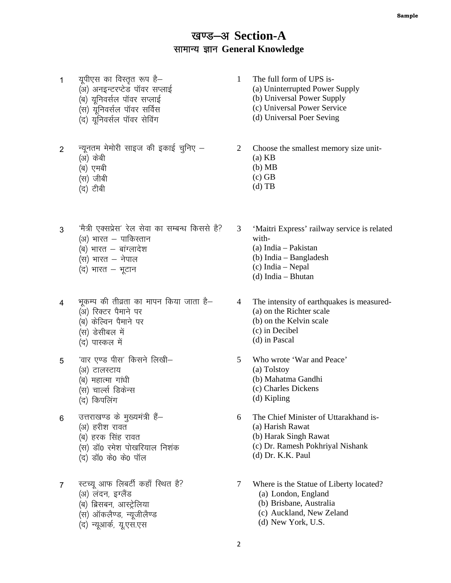### खण्ड-अ Section-A सामान्य ज्ञान General Knowledge

- 1 यूपीएस का विस्तृत रूप है—
	- (अ) अनइन्टरप्टेड पॉवर सप्लाई
	- (ब) युनिवर्सल पॉवर सप्लाई
	- $\overline{u}$ (स) युनिवर्सल पॉवर सर्विस
	- (द) युनिवर्सल पॉवर सेविंग
- $2$  ) न्यूनतम मेमोरी साइज की इकाई चुनिए  $-$ 
	- (अ) केबी
	- (ब) एमबी
	- $(H)$  जीबी
	- $(7)$  टीबी
- $3$ <sup> $\hat{a}$ </sup> मेत्री एक्सप्रेस' रेल सेवा का सम्बन्ध किससे है?  $(x)$  भारत – पाकिस्तान
	- $(a)$  भारत बांग्लादेश
	- $(H)$  भारत  $-$  नेपाल
	- $($ द) भारत भूटान
- $4$  भूकम्प की तीव्रता का मापन किया जाता है— (अ) रिक्टर पैमाने पर
	- (ब) केल्विन पैमाने पर
	- (स) डेसीबल में
	- (द) पास्कल में
- $5$  वार एण्ड पीस' किसने लिखी–
	- (अ) टालस्टाय
	- $(q)$  महात्मा गांधी
	- (स) चार्ल्स डिकेन्स
	- (द) किपलिंग
- 6 जत्तराखण्ड के मुख्यमंत्री हैं-(अ) हरीश रावत
	- (ब) हरक सिंह रावत
	-
	- (स) डॉ0 रमेश पोखरियाल निशंक
	- (द) डॉ0 के0 के0 पॉल
- 7 स्टच्यू आफ लिबर्टी कहाँ स्थित है? (अ) लंदन, इंग्लैंड
	- (ब) ब्रिसबन, आस्ट्रेलिया
	- (स) ऑकलैण्ड, न्यूजीलैण्ड
	- (द) न्यूआर्क, यू.एस.एस
- 1 The full form of UPS is-
	- (a) Uninterrupted Power Supply
	- (b) Universal Power Supply
	- (c) Universal Power Service
	- (d) Universal Poer Seving
- 2 Choose the smallest memory size unit-
	- (a) KB
	- (b) MB
	- (c) GB
	- (d) TB
- 3 'Maitri Express' railway service is related with-
	- (a) India Pakistan
	- (b) India Bangladesh
	- (c) India Nepal
	- (d) India Bhutan
- 4 The intensity of earthquakes is measured- (a) on the Richter scale (b) on the Kelvin scale
	- (c) in Decibel
	- (d) in Pascal
- 5 Who wrote 'War and Peace'
	- (a) Tolstoy
	- (b) Mahatma Gandhi
	- (c) Charles Dickens
	- (d) Kipling
- 6 The Chief Minister of Uttarakhand is- (a) Harish Rawat (b) Harak Singh Rawat (c) Dr. Ramesh Pokhriyal Nishank
	- (d) Dr. K.K. Paul
- 7 Where is the Statue of Liberty located? (a) London, England
	- (b) Brisbane, Australia
	- (c) Auckland, New Zeland
	- (d) New York, U.S.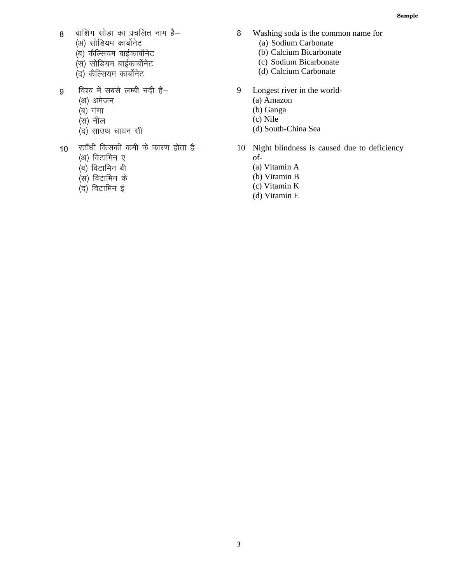- $8$  वाशिंग सोड़ा का प्रचलित नाम है–
	- (अ) सोडियम कार्बोनेट
	- ,<br>(ब) कैल्सियम बाईकार्बोनेट
	- ्<br>(स) सोडियम बाईकार्बोनेट
	- ,<br>(द) कैल्सियम कार्बोनेट
- 9 विश्व में सबसे लम्बी नदी है-
	- (अ) अमेजन
	- $(a)$  गंगा
	- $\ddot{H}$ सील
	- ्त्र)<br>(द) साउथ चायन सी
- $10$  रतौंधी किसकी कमी के कारण होता है–
	- (अ) विटामिन ए
	- $\overline{q}$ ) विटामिन बी
	- .<br>(स) विटामिन के
	- (द) विटामिन ई
- 8 Washing soda is the common name for (a) Sodium Carbonate
	- (b) Calcium Bicarbonate
	- (c) Sodium Bicarbonate
	- (d) Calcium Carbonate
- 9 Longest river in the world-
	- (a) Amazon
	- (b) Ganga
	- (c) Nile
	- (d) South-China Sea
- 10 Night blindness is caused due to deficiency of-
	- (a) Vitamin A
	- (b) Vitamin B
	- (c) Vitamin K
	- (d) Vitamin E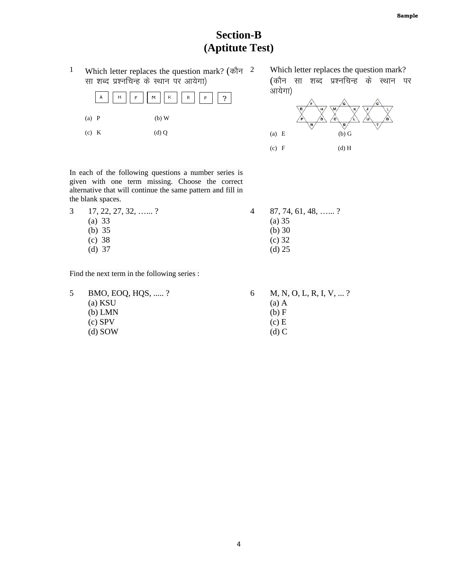## **Section-B** (Aptitute Test)

 $\mathbf 1$ Which letter replaces the question mark? (कौन  $2$ सा शब्द प्रश्नचिन्ह के स्थान पर आयेगा)



Which letter replaces the question mark? (कौन सा शब्द प्रश्नचिन्ह के स्थान पर आयेगा)



In each of the following questions a number series is given with one term missing. Choose the correct alternative that will continue the same pattern and fill in the blank spaces.

| $3 \quad 17, 22, 27, 32, \ldots$ ? | $87, 74, 61, 48, \ldots$ ? |  |
|------------------------------------|----------------------------|--|
| (a) $33$                           | (a) 35                     |  |
| (b) $35$                           | (b) $30$                   |  |
| (c) 38                             | $(c)$ 32                   |  |
| $(d)$ 37                           | $(d)$ 25                   |  |
|                                    |                            |  |

Find the next term in the following series :

5 BMO, EOQ, HQS, .....? (a) KSU  $(b)$  LMN  $(c)$  SPV  $(d)$  SOW

6 M, N, O, L, R, I, V, ...?

- $(a)$  A
	- $(b) F$  $(c)$  E
	- $(d)$  C